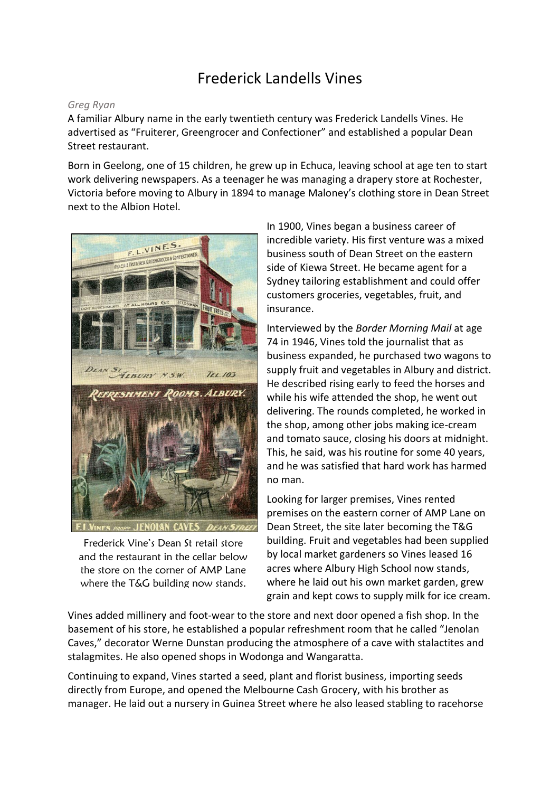## Frederick Landells Vines

## *Greg Ryan*

A familiar Albury name in the early twentieth century was Frederick Landells Vines. He advertised as "Fruiterer, Greengrocer and Confectioner" and established a popular Dean Street restaurant.

Born in Geelong, one of 15 children, he grew up in Echuca, leaving school at age ten to start work delivering newspapers. As a teenager he was managing a drapery store at Rochester, Victoria before moving to Albury in 1894 to manage Maloney's clothing store in Dean Street next to the Albion Hotel.



Frederick Vine's Dean St retail store and the restaurant in the cellar below the store on the corner of AMP Lane where the T&G building now stands.

In 1900, Vines began a business career of incredible variety. His first venture was a mixed business south of Dean Street on the eastern side of Kiewa Street. He became agent for a Sydney tailoring establishment and could offer customers groceries, vegetables, fruit, and insurance.

Interviewed by the *Border Morning Mail* at age 74 in 1946, Vines told the journalist that as business expanded, he purchased two wagons to supply fruit and vegetables in Albury and district. He described rising early to feed the horses and while his wife attended the shop, he went out delivering. The rounds completed, he worked in the shop, among other jobs making ice-cream and tomato sauce, closing his doors at midnight. This, he said, was his routine for some 40 years, and he was satisfied that hard work has harmed no man.

Looking for larger premises, Vines rented premises on the eastern corner of AMP Lane on Dean Street, the site later becoming the T&G building. Fruit and vegetables had been supplied by local market gardeners so Vines leased 16 acres where Albury High School now stands, where he laid out his own market garden, grew grain and kept cows to supply milk for ice cream.

Vines added millinery and foot-wear to the store and next door opened a fish shop. In the basement of his store, he established a popular refreshment room that he called "Jenolan Caves," decorator Werne Dunstan producing the atmosphere of a cave with stalactites and stalagmites. He also opened shops in Wodonga and Wangaratta.

Continuing to expand, Vines started a seed, plant and florist business, importing seeds directly from Europe, and opened the Melbourne Cash Grocery, with his brother as manager. He laid out a nursery in Guinea Street where he also leased stabling to racehorse